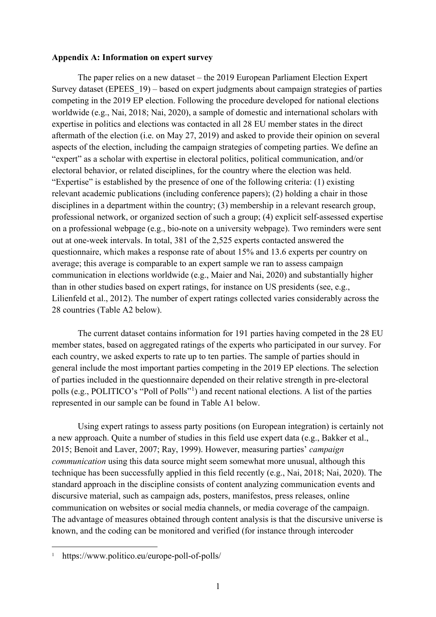#### **Appendix A: Information on expert survey**

The paper relies on a new dataset – the 2019 European Parliament Election Expert Survey dataset (EPEES\_19) – based on expert judgments about campaign strategies of parties competing in the 2019 EP election. Following the procedure developed for national elections worldwide (e.g., Nai, 2018; Nai, 2020), a sample of domestic and international scholars with expertise in politics and elections was contacted in all 28 EU member states in the direct aftermath of the election (i.e. on May 27, 2019) and asked to provide their opinion on several aspects of the election, including the campaign strategies of competing parties. We define an "expert" as a scholar with expertise in electoral politics, political communication, and/or electoral behavior, or related disciplines, for the country where the election was held. "Expertise" is established by the presence of one of the following criteria: (1) existing relevant academic publications (including conference papers); (2) holding a chair in those disciplines in a department within the country; (3) membership in a relevant research group, professional network, or organized section of such a group; (4) explicit self-assessed expertise on a professional webpage (e.g., bio-note on a university webpage). Two reminders were sent out at one-week intervals. In total, 381 of the 2,525 experts contacted answered the questionnaire, which makes a response rate of about 15% and 13.6 experts per country on average; this average is comparable to an expert sample we ran to assess campaign communication in elections worldwide (e.g., Maier and Nai, 2020) and substantially higher than in other studies based on expert ratings, for instance on US presidents (see, e.g., Lilienfeld et al., 2012). The number of expert ratings collected varies considerably across the 28 countries (Table A2 below).

The current dataset contains information for 191 parties having competed in the 28 EU member states, based on aggregated ratings of the experts who participated in our survey. For each country, we asked experts to rate up to ten parties. The sample of parties should in general include the most important parties competing in the 2019 EP elections. The selection of parties included in the questionnaire depended on their relative strength in pre-electoral polls (e.g., POLITICO's "Poll of Polls"<sup>[1](#page-0-0)</sup>) and recent national elections. A list of the parties represented in our sample can be found in Table A1 below.

Using expert ratings to assess party positions (on European integration) is certainly not a new approach. Quite a number of studies in this field use expert data (e.g., Bakker et al., 2015; Benoit and Laver, 2007; Ray, 1999). However, measuring parties' *campaign communication* using this data source might seem somewhat more unusual, although this technique has been successfully applied in this field recently (e.g., Nai, 2018; Nai, 2020). The standard approach in the discipline consists of content analyzing communication events and discursive material, such as campaign ads, posters, manifestos, press releases, online communication on websites or social media channels, or media coverage of the campaign. The advantage of measures obtained through content analysis is that the discursive universe is known, and the coding can be monitored and verified (for instance through intercoder

<span id="page-0-0"></span><sup>&</sup>lt;sup>1</sup> https://www.politico.eu/europe-poll-of-polls/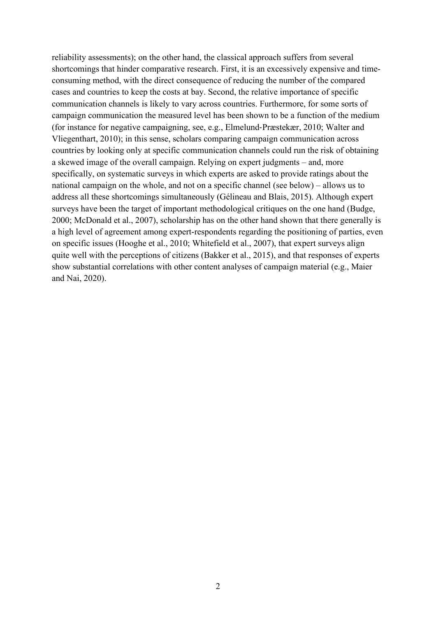reliability assessments); on the other hand, the classical approach suffers from several shortcomings that hinder comparative research. First, it is an excessively expensive and timeconsuming method, with the direct consequence of reducing the number of the compared cases and countries to keep the costs at bay. Second, the relative importance of specific communication channels is likely to vary across countries. Furthermore, for some sorts of campaign communication the measured level has been shown to be a function of the medium (for instance for negative campaigning, see, e.g., Elmelund‐Præstekær, 2010; Walter and Vliegenthart, 2010); in this sense, scholars comparing campaign communication across countries by looking only at specific communication channels could run the risk of obtaining a skewed image of the overall campaign. Relying on expert judgments – and, more specifically, on systematic surveys in which experts are asked to provide ratings about the national campaign on the whole, and not on a specific channel (see below) – allows us to address all these shortcomings simultaneously (Gélineau and Blais, 2015). Although expert surveys have been the target of important methodological critiques on the one hand (Budge, 2000; McDonald et al., 2007), scholarship has on the other hand shown that there generally is a high level of agreement among expert-respondents regarding the positioning of parties, even on specific issues (Hooghe et al., 2010; Whitefield et al., 2007), that expert surveys align quite well with the perceptions of citizens (Bakker et al., 2015), and that responses of experts show substantial correlations with other content analyses of campaign material (e.g., Maier and Nai, 2020).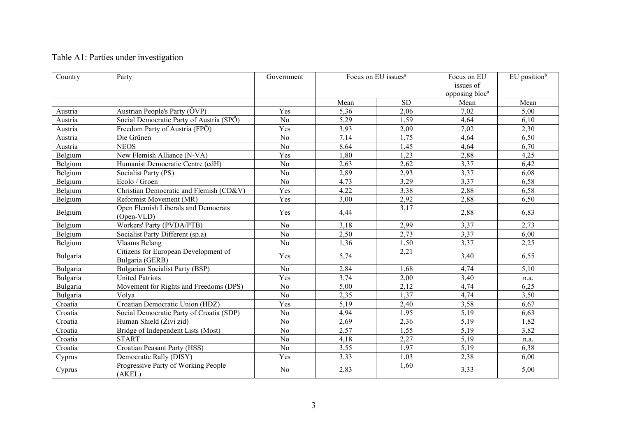# Table A1: Parties under investigation

| Country  | Party                                                   | Government     |      | Focus on EU issues <sup>a</sup> |      | $EU$ position <sup>b</sup> |
|----------|---------------------------------------------------------|----------------|------|---------------------------------|------|----------------------------|
|          |                                                         |                | Mean | <b>SD</b>                       | Mean | Mean                       |
| Austria  | Austrian People's Party (ÖVP)                           | Yes            | 5,36 | 2,06                            | 7,02 | 5,00                       |
| Austria  | Social Democratic Party of Austria (SPÖ)                | N <sub>o</sub> | 5,29 | 1,59                            | 4,64 | 6,10                       |
| Austria  | Freedom Party of Austria (FPÖ)                          | Yes            | 3,93 | 2,09                            | 7,02 | 2,30                       |
| Austria  | Die Grünen                                              | N <sub>o</sub> | 7,14 | 1,75                            | 4,64 | 6,50                       |
| Austria  | <b>NEOS</b>                                             | N <sub>o</sub> | 8,64 | 1,45                            | 4,64 | 6,70                       |
| Belgium  | New Flemish Alliance (N-VA)                             | Yes            | 1,80 | 1,23                            | 2,88 | 4,25                       |
| Belgium  | Humanist Democratic Centre (cdH)                        | N <sub>o</sub> | 2,63 | 2,62                            | 3,37 | 6,42                       |
| Belgium  | Socialist Party (PS)                                    | No             | 2,89 | 2,93                            | 3,37 | 6,08                       |
| Belgium  | Ecolo / Groen                                           | No             | 4,73 | 3,29                            | 3,37 | 6,58                       |
| Belgium  | Christian Democratic and Flemish (CD&V)                 | Yes            | 4,22 | 3,38                            | 2,88 | 6,58                       |
| Belgium  | Reformist Movement (MR)                                 | Yes            | 3,00 | 2,92                            | 2,88 | 6,50                       |
| Belgium  | Open Flemish Liberals and Democrats<br>(Open-VLD)       | Yes            | 4,44 | 3,17                            | 2,88 | 6,83                       |
| Belgium  | Workers' Party (PVDA/PTB)                               | No             | 3,18 | 2,99                            | 3,37 | 2,73                       |
| Belgium  | Socialist Party Different (sp.a)                        | No             | 2,50 | 2,73                            | 3,37 | 6,00                       |
| Belgium  | <b>Vlaams Belang</b>                                    | N <sub>o</sub> | 1,36 | 1,50                            | 3,37 | 2,25                       |
| Bulgaria | Citizens for European Development of<br>Bulgaria (GERB) | Yes            | 5,74 | 2,21                            | 3,40 | 6,55                       |
| Bulgaria | Bulgarian Socialist Party (BSP)                         | N <sub>o</sub> | 2,84 | 1,68                            | 4,74 | 5,10                       |
| Bulgaria | <b>United Patriots</b>                                  | Yes            | 3,74 | 2,00                            | 3,40 | n.a.                       |
| Bulgaria | Movement for Rights and Freedoms (DPS)                  | N <sub>o</sub> | 5,00 | 2,12                            | 4,74 | 6,25                       |
| Bulgaria | Volya                                                   | N <sub>o</sub> | 2,35 | 1,37                            | 4,74 | 3,50                       |
| Croatia  | Croatian Democratic Union (HDZ)                         | Yes            | 5,19 | 2,40                            | 3,58 | 6,67                       |
| Croatia  | Social Democratic Party of Croatia (SDP)                | No             | 4,94 | 1,95                            | 5,19 | 6,63                       |
| Croatia  | Human Shield (Živi zid)                                 | No             | 2,69 | 2,36                            | 5,19 | 1,82                       |
| Croatia  | Bridge of Independent Lists (Most)                      | N <sub>o</sub> | 2,57 | 1,55                            | 5,19 | 3,82                       |
| Croatia  | <b>START</b>                                            | No             | 4,18 | 2,27                            | 5,19 | n.a.                       |
| Croatia  | Croatian Peasant Party (HSS)                            | No             | 3,55 | 1,97                            | 5,19 | 6,38                       |
| Cyprus   | Democratic Rally (DISY)                                 | Yes            | 3,33 | 1,03                            | 2,38 | 6,00                       |
| Cyprus   | Progressive Party of Working People<br>(AKEL)           | No             | 2,83 | 1,60                            | 3,33 | 5,00                       |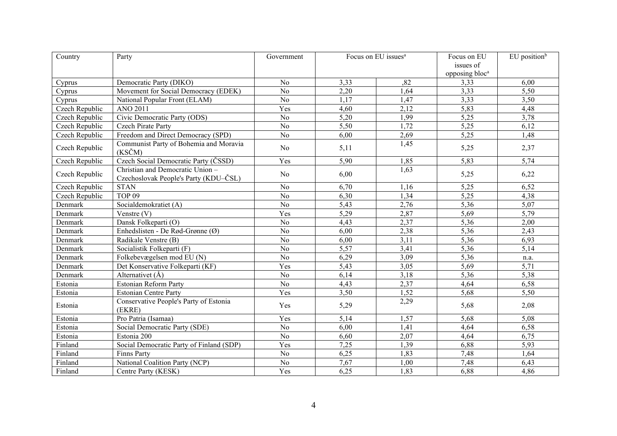| Country        | Party                                                                     | Government      | Focus on EU issues <sup>a</sup> |      | Focus on EU                | EU position <sup>b</sup> |
|----------------|---------------------------------------------------------------------------|-----------------|---------------------------------|------|----------------------------|--------------------------|
|                |                                                                           |                 |                                 |      | issues of                  |                          |
|                |                                                                           |                 |                                 |      | opposing bloc <sup>a</sup> |                          |
| Cyprus         | Democratic Party (DIKO)                                                   | No              | 3,33                            | ,82  | 3,33                       | 6,00                     |
| Cyprus         | Movement for Social Democracy (EDEK)                                      | N <sub>o</sub>  | 2,20                            | 1,64 | 3,33                       | 5,50                     |
| Cyprus         | National Popular Front (ELAM)                                             | No              | 1,17                            | 1,47 | 3,33                       | 3,50                     |
| Czech Republic | <b>ANO 2011</b>                                                           | Yes             | 4,60                            | 2,12 | 5,83                       | 4,48                     |
| Czech Republic | Civic Democratic Party (ODS)                                              | No              | 5,20                            | 1,99 | 5,25                       | 3,78                     |
| Czech Republic | <b>Czech Pirate Party</b>                                                 | No              | 5,50                            | 1,72 | 5,25                       | 6,12                     |
| Czech Republic | Freedom and Direct Democracy (SPD)                                        | N <sub>o</sub>  | 6,00                            | 2,69 | 5,25                       | 1,48                     |
| Czech Republic | Communist Party of Bohemia and Moravia<br>$(KS\check{C}M)$                | No              | 5,11                            | 1,45 | 5,25                       | 2,37                     |
| Czech Republic | Czech Social Democratic Party (ČSSD)                                      | Yes             | 5,90                            | 1,85 | 5,83                       | 5,74                     |
| Czech Republic | Christian and Democratic Union -<br>Czechoslovak People's Party (KDU-ČSL) | No              | 6,00                            | 1,63 | 5,25                       | 6,22                     |
| Czech Republic | <b>STAN</b>                                                               | No              | 6,70                            | 1,16 | 5,25                       | 6,52                     |
| Czech Republic | <b>TOP 09</b>                                                             | No              | 6,30                            | 1,34 | 5,25                       | 4,38                     |
| Denmark        | Socialdemokratiet (A)                                                     | N <sub>o</sub>  | 5,43                            | 2,76 | 5,36                       | 5,07                     |
| Denmark        | Venstre (V)                                                               | Yes             | 5,29                            | 2,87 | 5,69                       | 5,79                     |
| Denmark        | Dansk Folkeparti (O)                                                      | N <sub>o</sub>  | 4,43                            | 2,37 | 5,36                       | 2,00                     |
| Denmark        | Enhedslisten - De Rød-Grønne (Ø)                                          | $\overline{No}$ | 6,00                            | 2,38 | $\overline{5,36}$          | 2,43                     |
| Denmark        | Radikale Venstre (B)                                                      | N <sub>o</sub>  | 6,00                            | 3,11 | 5,36                       | 6,93                     |
| Denmark        | Socialistik Folkeparti (F)                                                | No              | 5,57                            | 3,41 | 5,36                       | 5,14                     |
| Denmark        | Folkebevægelsen mod EU (N)                                                | N <sub>o</sub>  | 6,29                            | 3,09 | 5,36                       | n.a.                     |
| Denmark        | Det Konservative Folkeparti (KF)                                          | Yes             | 5,43                            | 3,05 | 5,69                       | $\overline{5,71}$        |
| Denmark        | Alternativet $(\AA)$                                                      | N <sub>o</sub>  | 6,14                            | 3,18 | 5,36                       | 5,38                     |
| Estonia        | Estonian Reform Party                                                     | N <sub>o</sub>  | 4,43                            | 2,37 | 4,64                       | 6,58                     |
| Estonia        | <b>Estonian Centre Party</b>                                              | Yes             | 3,50                            | 1,52 | 5,68                       | 5,50                     |
| Estonia        | Conservative People's Party of Estonia<br>(EKRE)                          | Yes             | 5,29                            | 2,29 | 5,68                       | 2,08                     |
| Estonia        | Pro Patria (Isamaa)                                                       | Yes             | 5,14                            | 1,57 | 5,68                       | 5,08                     |
| Estonia        | Social Democratic Party (SDE)                                             | No              | 6,00                            | 1,41 | 4,64                       | 6,58                     |
| Estonia        | Estonia 200                                                               | No              | 6,60                            | 2,07 | 4,64                       | 6,75                     |
| Finland        | Social Democratic Party of Finland (SDP)                                  | Yes             | 7,25                            | 1,39 | 6,88                       | 5,93                     |
| Finland        | Finns Party                                                               | No              | 6,25                            | 1,83 | 7,48                       | 1,64                     |
| Finland        | National Coalition Party (NCP)                                            | No              | 7,67                            | 1,00 | 7,48                       | 6,43                     |
| Finland        | Centre Party (KESK)                                                       | Yes             | 6,25                            | 1,83 | 6,88                       | 4,86                     |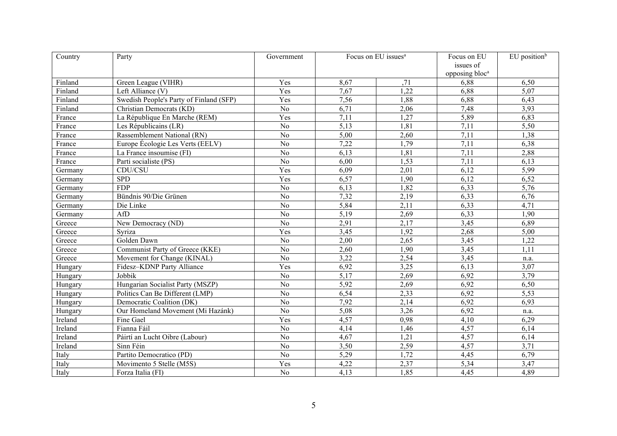| Country | Party                                   | Government     | Focus on EU issues <sup>a</sup> |      | Focus on EU                | EU position <sup>b</sup> |
|---------|-----------------------------------------|----------------|---------------------------------|------|----------------------------|--------------------------|
|         |                                         |                |                                 |      | issues of                  |                          |
|         |                                         |                |                                 |      | opposing bloc <sup>a</sup> |                          |
| Finland | Green League (VIHR)                     | Yes            | 8,67                            | ,71  | 6,88                       | 6,50                     |
| Finland | Left Alliance (V)                       | Yes            | 7,67                            | 1,22 | 6,88                       | 5,07                     |
| Finland | Swedish People's Party of Finland (SFP) | Yes            | 7,56                            | 1,88 | 6,88                       | 6,43                     |
| Finland | Christian Democrats (KD)                | N <sub>o</sub> | 6,71                            | 2,06 | 7,48                       | 3,93                     |
| France  | La République En Marche (REM)           | Yes            | 7,11                            | 1,27 | 5,89                       | 6,83                     |
| France  | Les Républicains (LR)                   | N <sub>o</sub> | 5,13                            | 1,81 | 7,11                       | 5,50                     |
| France  | Rassemblement National (RN)             | N <sub>o</sub> | 5,00                            | 2,60 | 7,11                       | 1,38                     |
| France  | Europe Écologie Les Verts (EELV)        | No             | 7,22                            | 1,79 | 7,11                       | 6,38                     |
| France  | La France insoumise (FI)                | No             | 6,13                            | 1,81 | 7,11                       | 2,88                     |
| France  | Parti socialiste (PS)                   | No             | 6,00                            | 1,53 | 7,11                       | 6,13                     |
| Germany | CDU/CSU                                 | Yes            | 6,09                            | 2,01 | 6,12                       | 5,99                     |
| Germany | <b>SPD</b>                              | Yes            | 6,57                            | 1,90 | 6,12                       | 6,52                     |
| Germany | <b>FDP</b>                              | No             | 6,13                            | 1,82 | 6,33                       | 5,76                     |
| Germany | Bündnis 90/Die Grünen                   | No             | 7,32                            | 2,19 | 6,33                       | 6,76                     |
| Germany | Die Linke                               | No             | 5,84                            | 2,11 | 6,33                       | 4,71                     |
| Germany | AfD                                     | N <sub>o</sub> | 5,19                            | 2,69 | 6,33                       | 1,90                     |
| Greece  | New Democracy (ND)                      | N <sub>o</sub> | 2,91                            | 2,17 | 3,45                       | 6,89                     |
| Greece  | Syriza                                  | Yes            | 3,45                            | 1,92 | 2,68                       | 5,00                     |
| Greece  | Golden Dawn                             | No             | 2,00                            | 2,65 | 3,45                       | 1,22                     |
| Greece  | Communist Party of Greece (KKE)         | $\rm No$       | 2,60                            | 1,90 | 3,45                       | 1,11                     |
| Greece  | Movement for Change (KINAL)             | No             | 3,22                            | 2,54 | 3,45                       | n.a.                     |
| Hungary | Fidesz-KDNP Party Alliance              | Yes            | 6,92                            | 3,25 | 6,13                       | 3,07                     |
| Hungary | Jobbik                                  | No             | 5,17                            | 2,69 | 6,92                       | 3,79                     |
| Hungary | Hungarian Socialist Party (MSZP)        | N <sub>o</sub> | 5,92                            | 2,69 | 6,92                       | 6,50                     |
| Hungary | Politics Can Be Different (LMP)         | N <sub>o</sub> | 6,54                            | 2,33 | 6,92                       | 5,53                     |
| Hungary | Democratic Coalition (DK)               | N <sub>o</sub> | 7,92                            | 2,14 | 6,92                       | 6,93                     |
| Hungary | Our Homeland Movement (Mi Hazánk)       | N <sub>o</sub> | 5,08                            | 3,26 | 6,92                       | n.a.                     |
| Ireland | Fine Gael                               | Yes            | 4,57                            | 0,98 | 4,10                       | 6,29                     |
| Ireland | Fianna Fáil                             | N <sub>o</sub> | 4,14                            | 1,46 | 4,57                       | 6,14                     |
| Ireland | Páirtí an Lucht Oibre (Labour)          | No             | 4,67                            | 1,21 | 4,57                       | 6,14                     |
| Ireland | Sinn Féin                               | No             | 3,50                            | 2,59 | 4,57                       | 3,71                     |
| Italy   | Partito Democratico (PD)                | N <sub>o</sub> | 5,29                            | 1,72 | 4,45                       | 6,79                     |
| Italy   | Movimento 5 Stelle (M5S)                | Yes            | 4,22                            | 2,37 | 5,34                       | 3,47                     |
| Italy   | Forza Italia (FI)                       | No             | 4,13                            | 1,85 | 4,45                       | 4,89                     |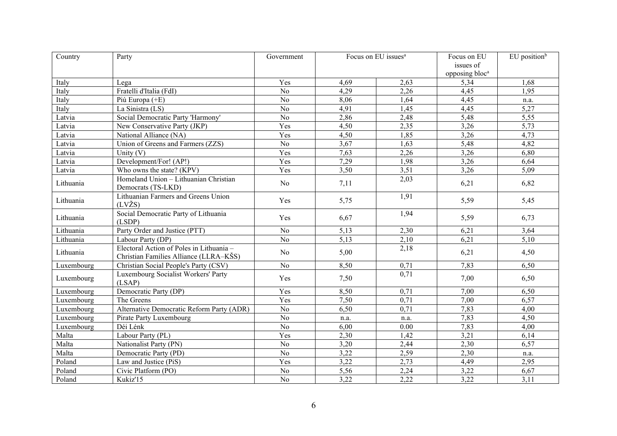| Country    | Party                                                                              | Government      | Focus on EU issues <sup>a</sup> |      | Focus on EU                | EU position <sup>b</sup> |
|------------|------------------------------------------------------------------------------------|-----------------|---------------------------------|------|----------------------------|--------------------------|
|            |                                                                                    |                 |                                 |      | issues of                  |                          |
|            |                                                                                    |                 |                                 |      | opposing bloc <sup>a</sup> |                          |
| Italy      | Lega                                                                               | Yes             | 4,69                            | 2,63 | 5,34                       | 1,68                     |
| Italy      | Fratelli d'Italia (FdI)                                                            | No              | 4,29                            | 2,26 | 4,45                       | 1,95                     |
| Italy      | Più Europa (+E)                                                                    | N <sub>o</sub>  | 8,06                            | 1,64 | 4,45                       | n.a.                     |
| Italy      | La Sinistra (LS)                                                                   | No              | 4,91                            | 1,45 | 4,45                       | 5,27                     |
| Latvia     | Social Democratic Party 'Harmony'                                                  | No              | 2,86                            | 2,48 | 5,48                       | 5,55                     |
| Latvia     | New Conservative Party (JKP)                                                       | Yes             | 4,50                            | 2,35 | 3,26                       | 5,73                     |
| Latvia     | National Alliance (NA)                                                             | Yes             | 4,50                            | 1,85 | 3,26                       | 4,73                     |
| Latvia     | Union of Greens and Farmers (ZZS)                                                  | No              | 3,67                            | 1,63 | 5,48                       | 4,82                     |
| Latvia     | Unity $(V)$                                                                        | Yes             | 7,63                            | 2,26 | 3,26                       | 6,80                     |
| Latvia     | Development/For! (AP!)                                                             | Yes             | 7,29                            | 1,98 | 3,26                       | 6,64                     |
| Latvia     | Who owns the state? (KPV)                                                          | Yes             | 3,50                            | 3,51 | 3,26                       | 5,09                     |
| Lithuania  | Homeland Union - Lithuanian Christian<br>Democrats (TS-LKD)                        | No              | 7,11                            | 2,03 | 6,21                       | 6,82                     |
| Lithuania  | Lithuanian Farmers and Greens Union<br>$(LV\check{Z}S)$                            | Yes             | 5,75                            | 1,91 | 5,59                       | 5,45                     |
| Lithuania  | Social Democratic Party of Lithuania<br>(LSDP)                                     | Yes             | 6,67                            | 1,94 | 5,59                       | 6,73                     |
| Lithuania  | Party Order and Justice (PTT)                                                      | No              | 5,13                            | 2,30 | 6,21                       | 3,64                     |
| Lithuania  | Labour Party (DP)                                                                  | N <sub>o</sub>  | 5,13                            | 2,10 | 6,21                       | 5,10                     |
| Lithuania  | Electoral Action of Poles in Lithuania -<br>Christian Families Alliance (LLRA–KŠS) | No              | 5,00                            | 2,18 | 6,21                       | 4,50                     |
| Luxembourg | Christian Social People's Party (CSV)                                              | N <sub>o</sub>  | 8,50                            | 0,71 | 7,83                       | 6,50                     |
| Luxembourg | Luxembourg Socialist Workers' Party<br>(LSAP)                                      | Yes             | 7,50                            | 0,71 | 7,00                       | 6,50                     |
| Luxembourg | Democratic Party (DP)                                                              | Yes             | 8,50                            | 0,71 | 7,00                       | 6,50                     |
| Luxembourg | The Greens                                                                         | Yes             | 7,50                            | 0,71 | 7,00                       | 6,57                     |
| Luxembourg | Alternative Democratic Reform Party (ADR)                                          | No              | 6,50                            | 0,71 | 7,83                       | 4,00                     |
| Luxembourg | Pirate Party Luxembourg                                                            | No              | n.a.                            | n.a. | 7,83                       | 4,50                     |
| Luxembourg | Déi Lénk                                                                           | No              | 6,00                            | 0.00 | 7,83                       | 4,00                     |
| Malta      | Labour Party (PL)                                                                  | Yes             | 2,30                            | 1,42 | 3,21                       | 6,14                     |
| Malta      | Nationalist Party (PN)                                                             | N <sub>o</sub>  | 3,20                            | 2,44 | 2,30                       | 6,57                     |
| Malta      | Democratic Party (PD)                                                              | No              | 3,22                            | 2,59 | 2,30                       | n.a.                     |
| Poland     | Law and Justice (PiS)                                                              | Yes             | 3,22                            | 2,73 | 4,49                       | 2,95                     |
| Poland     | Civic Platform (PO)                                                                | No              | 5,56                            | 2,24 | 3,22                       | 6,67                     |
| Poland     | Kukiz'15                                                                           | $\overline{No}$ | 3,22                            | 2,22 | 3,22                       | 3,11                     |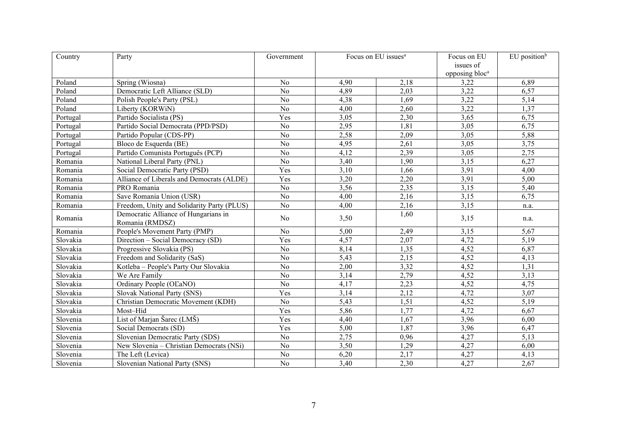| Country  | Party                                      | Government      | Focus on EU issues <sup>a</sup> |      | Focus on EU                | EU position <sup>b</sup> |
|----------|--------------------------------------------|-----------------|---------------------------------|------|----------------------------|--------------------------|
|          |                                            |                 |                                 |      | issues of                  |                          |
|          |                                            |                 |                                 |      | opposing bloc <sup>a</sup> |                          |
| Poland   | Spring (Wiosna)                            | N <sub>o</sub>  | 4,90                            | 2,18 | 3,22                       | 6,89                     |
| Poland   | Democratic Left Alliance (SLD)             | N <sub>o</sub>  | 4,89                            | 2,03 | 3,22                       | 6,57                     |
| Poland   | Polish People's Party (PSL)                | No              | 4,38                            | 1,69 | 3,22                       | 5,14                     |
| Poland   | Liberty (KORWiN)                           | No              | 4,00                            | 2,60 | 3,22                       | 1,37                     |
| Portugal | Partido Socialista (PS)                    | Yes             | 3,05                            | 2,30 | 3,65                       | 6,75                     |
| Portugal | Partido Social Democrata (PPD/PSD)         | No              | 2,95                            | 1,81 | 3,05                       | 6,75                     |
| Portugal | Partido Popular (CDS-PP)                   | No              | 2,58                            | 2,09 | 3,05                       | 5,88                     |
| Portugal | Bloco de Esquerda (BE)                     | No              | 4,95                            | 2,61 | 3,05                       | 3,75                     |
| Portugal | Partido Comunista Português (PCP)          | No              | 4,12                            | 2,39 | 3,05                       | 2,75                     |
| Romania  | National Liberal Party (PNL)               | No              | 3,40                            | 1,90 | 3,15                       | 6,27                     |
| Romania  | Social Democratic Party (PSD)              | Yes             | 3,10                            | 1,66 | 3,91                       | 4,00                     |
| Romania  | Alliance of Liberals and Democrats (ALDE)  | Yes             | 3,20                            | 2,20 | 3,91                       | 5,00                     |
| Romania  | PRO Romania                                | No              | 3,56                            | 2,35 | 3,15                       | 5,40                     |
| Romania  | Save Romania Union (USR)                   | N <sub>o</sub>  | 4,00                            | 2,16 | 3,15                       | 6,75                     |
| Romania  | Freedom, Unity and Solidarity Party (PLUS) | N <sub>o</sub>  | 4,00                            | 2,16 | 3,15                       | n.a.                     |
| Romania  | Democratic Alliance of Hungarians in       | No              | 3,50                            | 1,60 | 3,15                       | n.a.                     |
|          | Romania (RMDSZ)                            |                 |                                 |      |                            |                          |
| Romania  | People's Movement Party (PMP)              | N <sub>o</sub>  | 5,00                            | 2,49 | 3,15                       | 5,67                     |
| Slovakia | Direction - Social Democracy (SD)          | Yes             | 4,57                            | 2,07 | 4,72                       | 5,19                     |
| Slovakia | Progressive Slovakia (PS)                  | No              | 8,14                            | 1,35 | 4,52                       | 6,87                     |
| Slovakia | Freedom and Solidarity (SaS)               | N <sub>o</sub>  | $\overline{5,43}$               | 2,15 | 4,52                       | 4,13                     |
| Slovakia | Kotleba - People's Party Our Slovakia      | N <sub>o</sub>  | 2,00                            | 3,32 | 4,52                       | 1,31                     |
| Slovakia | We Are Family                              | $\overline{No}$ | 3,14                            | 2,79 | 4,52                       | 3,13                     |
| Slovakia | Ordinary People (OĽaNO)                    | $\overline{No}$ | 4,17                            | 2,23 | 4,52                       | 4,75                     |
| Slovakia | <b>Slovak National Party (SNS)</b>         | Yes             | 3,14                            | 2,12 | 4,72                       | 3,07                     |
| Slovakia | Christian Democratic Movement (KDH)        | No              | 5,43                            | 1,51 | 4,52                       | 5,19                     |
| Slovakia | Most-Híd                                   | Yes             | 5,86                            | 1,77 | 4,72                       | 6,67                     |
| Slovenia | List of Marjan Šarec (LMŠ)                 | Yes             | 4,40                            | 1,67 | 3,96                       | 6,00                     |
| Slovenia | Social Democrats (SD)                      | Yes             | 5,00                            | 1,87 | 3,96                       | 6,47                     |
| Slovenia | Slovenian Democratic Party (SDS)           | N <sub>o</sub>  | 2,75                            | 0,96 | 4,27                       | 5,13                     |
| Slovenia | New Slovenia - Christian Democrats (NSi)   | N <sub>o</sub>  | 3,50                            | 1,29 | 4,27                       | 6,00                     |
| Slovenia | The Left (Levica)                          | No              | 6,20                            | 2,17 | 4,27                       | 4,13                     |
| Slovenia | Slovenian National Party (SNS)             | N <sub>o</sub>  | 3,40                            | 2,30 | 4,27                       | 2,67                     |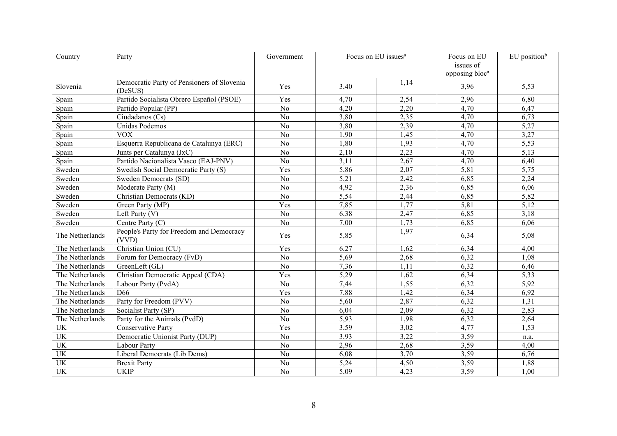| Country                         | Party                                      | Government     | Focus on EU issues <sup>a</sup> |      | Focus on EU                | EU position <sup>b</sup> |
|---------------------------------|--------------------------------------------|----------------|---------------------------------|------|----------------------------|--------------------------|
|                                 |                                            |                |                                 |      | issues of                  |                          |
|                                 |                                            |                |                                 |      | opposing bloc <sup>a</sup> |                          |
| Slovenia                        | Democratic Party of Pensioners of Slovenia | Yes            | 3,40                            | 1,14 | 3,96                       | 5,53                     |
|                                 | (DeSUS)                                    |                |                                 |      |                            |                          |
| Spain                           | Partido Socialista Obrero Español (PSOE)   | Yes            | 4,70                            | 2,54 | 2,96                       | 6,80                     |
| Spain                           | Partido Popular (PP)                       | N <sub>o</sub> | 4,20                            | 2,20 | 4,70                       | 6,47                     |
| $Span\overline{n}$              | Ciudadanos (Cs)                            | N <sub>o</sub> | 3,80                            | 2,35 | 4,70                       | 6,73                     |
| Spain                           | Unidas Podemos                             | N <sub>o</sub> | 3,80                            | 2,39 | 4,70                       | 5,27                     |
| Spain                           | <b>VOX</b>                                 | N <sub>o</sub> | 1,90                            | 1,45 | 4,70                       | 3,27                     |
| Spain                           | Esquerra Republicana de Catalunya (ERC)    | No             | 1,80                            | 1,93 | 4,70                       | 5,53                     |
| Spain                           | Junts per Catalunya (JxC)                  | No             | 2,10                            | 2,23 | 4,70                       | $\overline{5,13}$        |
| Spain                           | Partido Nacionalista Vasco (EAJ-PNV)       | N <sub>o</sub> | 3,11                            | 2,67 | 4,70                       | 6,40                     |
| Sweden                          | Swedish Social Democratic Party (S)        | Yes            | 5,86                            | 2,07 | 5,81                       | 5,75                     |
| Sweden                          | Sweden Democrats (SD)                      | N <sub>o</sub> | 5,21                            | 2,42 | 6,85                       | 2,24                     |
| Sweden                          | Moderate Party (M)                         | No             | 4,92                            | 2,36 | 6,85                       | 6,06                     |
| Sweden                          | Christian Democrats (KD)                   | N <sub>o</sub> | 5,54                            | 2,44 | 6,85                       | 5,82                     |
| Sweden                          | Green Party (MP)                           | Yes            | 7,85                            | 1,77 | 5,81                       | 5,12                     |
| Sweden                          | Left Party (V)                             | N <sub>o</sub> | 6,38                            | 2,47 | 6,85                       | 3,18                     |
| Sweden                          | Centre Party (C)                           | No             | 7,00                            | 1,73 | 6,85                       | 6,06                     |
| The Netherlands                 | People's Party for Freedom and Democracy   | Yes            | 5,85                            | 1,97 | 6,34                       | 5,08                     |
|                                 | (VVD)                                      |                |                                 |      |                            |                          |
| The Netherlands                 | Christian Union (CU)                       | Yes            | 6,27                            | 1,62 | 6,34                       | 4,00                     |
| The Netherlands                 | Forum for Democracy (FvD)                  | No             | 5,69                            | 2,68 | 6,32                       | 1,08                     |
| The Netherlands                 | GreenLeft (GL)                             | No             | 7,36                            | 1,11 | 6,32                       | 6,46                     |
| The Netherlands                 | Christian Democratic Appeal (CDA)          | Yes            | 5,29                            | 1,62 | 6,34                       | 5,33                     |
| The Netherlands                 | Labour Party (PvdA)                        | N <sub>o</sub> | 7,44                            | 1,55 | 6,32                       | 5,92                     |
| The Netherlands                 | D <sub>66</sub>                            | Yes            | 7,88                            | 1,42 | 6,34                       | 6,92                     |
| The Netherlands                 | Party for Freedom (PVV)                    | N <sub>o</sub> | 5,60                            | 2,87 | 6,32                       | 1,31                     |
| The Netherlands                 | Socialist Party (SP)                       | No             | 6,04                            | 2,09 | 6,32                       | 2,83                     |
| The Netherlands                 | Party for the Animals (PvdD)               | No             | $\overline{5,93}$               | 1,98 | 6,32                       | 2,64                     |
| $\ensuremath{\text{UK}}\xspace$ | <b>Conservative Party</b>                  | Yes            | 3,59                            | 3,02 | 4,77                       | 1,53                     |
| $\ensuremath{\text{UK}}\xspace$ | Democratic Unionist Party (DUP)            | No             | 3,93                            | 3,22 | 3,59                       | n.a.                     |
| <b>UK</b>                       | <b>Labour Party</b>                        | N <sub>o</sub> | 2,96                            | 2,68 | 3,59                       | 4,00                     |
| UK                              | Liberal Democrats (Lib Dems)               | No             | 6,08                            | 3,70 | 3,59                       | 6,76                     |
| $U\overline{K}$                 | <b>Brexit Party</b>                        | No             | 5,24                            | 4,50 | 3,59                       | 1,88                     |
| <b>UK</b>                       | <b>UKIP</b>                                | No             | 5,09                            | 4,23 | 3,59                       | 1,00                     |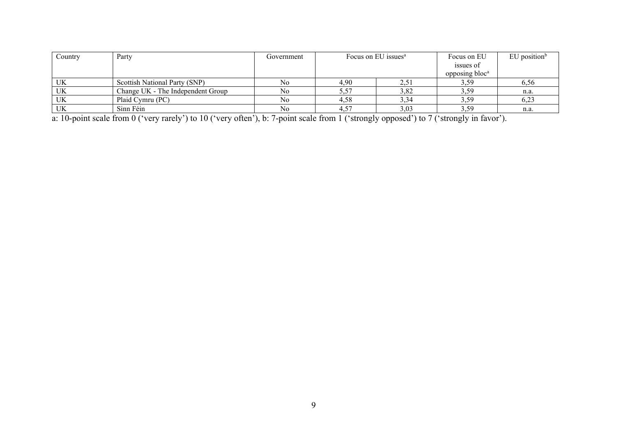| Country | Party                             | Government | Focus on EU issues <sup>a</sup> |      | Focus on EU                | $EU$ position <sup>b</sup> |
|---------|-----------------------------------|------------|---------------------------------|------|----------------------------|----------------------------|
|         |                                   |            |                                 |      | issues of                  |                            |
|         |                                   |            |                                 |      | opposing bloc <sup>a</sup> |                            |
| UK      | Scottish National Party (SNP)     | No         | 4.90                            | 2,51 | 3.59                       | 6,56                       |
| UK      | Change UK - The Independent Group | No         | 5,57                            | 3,82 | 3,59                       | n.a.                       |
| UK      | Plaid Cymru (PC)                  | No         | 4,58                            | 3,34 | 3,59                       | 6,23                       |
| UK      | Sinn Féin                         | No         |                                 | 3,03 | 3,59                       | n.a.                       |

a: 10-point scale from 0 ('very rarely') to 10 ('very often'), b: 7-point scale from 1 ('strongly opposed') to 7 ('strongly in favor').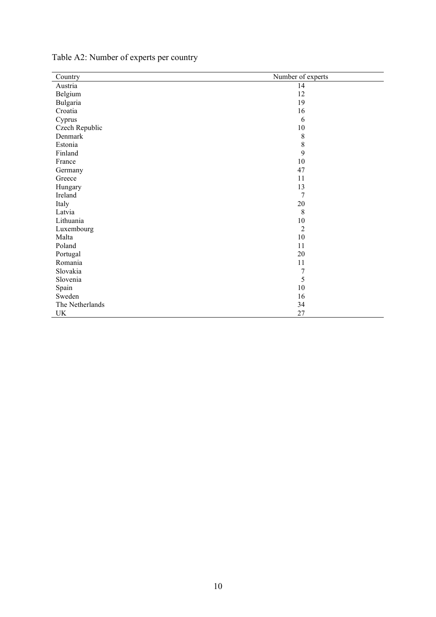| Country         | Number of experts |
|-----------------|-------------------|
| Austria         | 14                |
| Belgium         | 12                |
| Bulgaria        | 19                |
| Croatia         | 16                |
| Cyprus          | 6                 |
| Czech Republic  | $10\,$            |
| Denmark         | $\,$ 8 $\,$       |
| Estonia         | $\,$ 8 $\,$       |
| Finland         | 9                 |
| France          | $10\,$            |
| Germany         | 47                |
| Greece          | 11                |
| Hungary         | 13                |
| Ireland         | 7                 |
| Italy           | 20                |
| Latvia          | 8                 |
| Lithuania       | $10\,$            |
| Luxembourg      | $\overline{2}$    |
| Malta           | $10\,$            |
| Poland          | 11                |
| Portugal        | 20                |
| Romania         | 11                |
| Slovakia        | $\boldsymbol{7}$  |
| Slovenia        | 5                 |
| Spain           | 10                |
| Sweden          | 16                |
| The Netherlands | 34                |
| UK              | 27                |

## Table A2: Number of experts per country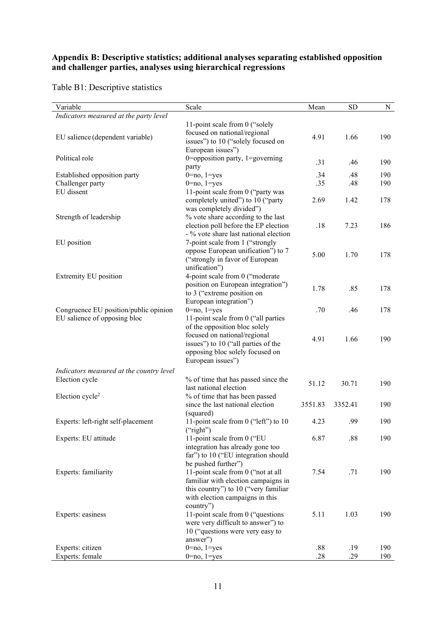## **Appendix B: Descriptive statistics; additional analyses separating established opposition and challenger parties, analyses using hierarchical regressions**

Table B1: Descriptive statistics

| Scale<br>Mean                                                                                                                                                                                                                                                                                                                                                                                          | <b>SD</b><br>N    |
|--------------------------------------------------------------------------------------------------------------------------------------------------------------------------------------------------------------------------------------------------------------------------------------------------------------------------------------------------------------------------------------------------------|-------------------|
|                                                                                                                                                                                                                                                                                                                                                                                                        |                   |
| 11-point scale from 0 ("solely"<br>focused on national/regional<br>4.91<br>issues") to 10 ("solely focused on<br>European issues")                                                                                                                                                                                                                                                                     | 1.66<br>190       |
| 0=opposition party, 1=governing<br>.31<br>party                                                                                                                                                                                                                                                                                                                                                        | .46<br>190        |
| $0 = no, 1 = yes$<br>.34                                                                                                                                                                                                                                                                                                                                                                               | .48<br>190        |
| $0 = no$ , $1 = yes$<br>.35                                                                                                                                                                                                                                                                                                                                                                            | .48<br>190        |
| 11-point scale from 0 ("party was                                                                                                                                                                                                                                                                                                                                                                      |                   |
| completely united") to 10 ("party<br>2.69<br>was completely divided")                                                                                                                                                                                                                                                                                                                                  | 1.42<br>178       |
| % vote share according to the last<br>election poll before the EP election<br>.18<br>- % vote share last national election                                                                                                                                                                                                                                                                             | 7.23<br>186       |
| 7-point scale from 1 ("strongly<br>oppose European unification") to 7<br>5.00                                                                                                                                                                                                                                                                                                                          | 1.70<br>178       |
| unification")                                                                                                                                                                                                                                                                                                                                                                                          |                   |
| position on European integration")<br>1.78<br>to 3 ("extreme position on                                                                                                                                                                                                                                                                                                                               | .85<br>178        |
|                                                                                                                                                                                                                                                                                                                                                                                                        |                   |
|                                                                                                                                                                                                                                                                                                                                                                                                        | 178               |
| of the opposition bloc solely<br>focused on national/regional<br>4.91                                                                                                                                                                                                                                                                                                                                  | 1.66<br>190       |
| opposing bloc solely focused on<br>European issues")                                                                                                                                                                                                                                                                                                                                                   |                   |
| Indicators measured at the country level                                                                                                                                                                                                                                                                                                                                                               |                   |
| % of time that has passed since the<br>51.12<br>last national election                                                                                                                                                                                                                                                                                                                                 | 30.71<br>190      |
| since the last national election<br>3551.83                                                                                                                                                                                                                                                                                                                                                            | 3352.41<br>190    |
| 11-point scale from 0 ("left") to 10<br>4.23                                                                                                                                                                                                                                                                                                                                                           | .99<br>190        |
|                                                                                                                                                                                                                                                                                                                                                                                                        | 190               |
| integration has already gone too<br>far") to 10 ("EU integration should                                                                                                                                                                                                                                                                                                                                |                   |
| 11-point scale from 0 ("not at all<br>7.54<br>familiar with election campaigns in<br>this country") to 10 ("very familiar                                                                                                                                                                                                                                                                              | .71<br>190        |
| with election campaigns in this<br>country")<br>11-point scale from 0 ("questions<br>5.11<br>were very difficult to answer") to<br>10 ("questions were very easy to                                                                                                                                                                                                                                    | 1.03<br>190       |
|                                                                                                                                                                                                                                                                                                                                                                                                        | 190               |
|                                                                                                                                                                                                                                                                                                                                                                                                        | .29<br>190        |
| ("strongly in favor of European<br>4-point scale from 0 ("moderate<br>European integration")<br>$0 = no$ , $1 = yes$<br>.70<br>11-point scale from 0 ("all parties<br>issues") to 10 ("all parties of the<br>% of time that has been passed<br>(squared)<br>("right")<br>11-point scale from 0 ("EU<br>6.87<br>be pushed further")<br>answer")<br>.88<br>$0 = no, 1 = yes$<br>.28<br>$0 = no, 1 = yes$ | .46<br>.88<br>.19 |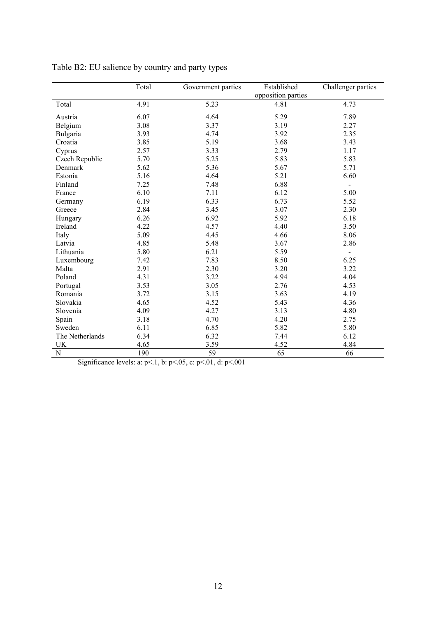|                 | Total | Government parties | Established<br>opposition parties | Challenger parties |
|-----------------|-------|--------------------|-----------------------------------|--------------------|
| Total           | 4.91  | 5.23               | 4.81                              | 4.73               |
| Austria         | 6.07  | 4.64               | 5.29                              | 7.89               |
| Belgium         | 3.08  | 3.37               | 3.19                              | 2.27               |
| Bulgaria        | 3.93  | 4.74               | 3.92                              | 2.35               |
| Croatia         | 3.85  | 5.19               | 3.68                              | 3.43               |
| Cyprus          | 2.57  | 3.33               | 2.79                              | 1.17               |
| Czech Republic  | 5.70  | 5.25               | 5.83                              | 5.83               |
| Denmark         | 5.62  | 5.36               | 5.67                              | 5.71               |
| Estonia         | 5.16  | 4.64               | 5.21                              | 6.60               |
| Finland         | 7.25  | 7.48               | 6.88                              |                    |
| France          | 6.10  | 7.11               | 6.12                              | 5.00               |
| Germany         | 6.19  | 6.33               | 6.73                              | 5.52               |
| Greece          | 2.84  | 3.45               | 3.07                              | 2.30               |
| Hungary         | 6.26  | 6.92               | 5.92                              | 6.18               |
| Ireland         | 4.22  | 4.57               | 4.40                              | 3.50               |
| Italy           | 5.09  | 4.45               | 4.66                              | 8.06               |
| Latvia          | 4.85  | 5.48               | 3.67                              | 2.86               |
| Lithuania       | 5.80  | 6.21               | 5.59                              |                    |
| Luxembourg      | 7.42  | 7.83               | 8.50                              | 6.25               |
| Malta           | 2.91  | 2.30               | 3.20                              | 3.22               |
| Poland          | 4.31  | 3.22               | 4.94                              | 4.04               |
| Portugal        | 3.53  | 3.05               | 2.76                              | 4.53               |
| Romania         | 3.72  | 3.15               | 3.63                              | 4.19               |
| Slovakia        | 4.65  | 4.52               | 5.43                              | 4.36               |
| Slovenia        | 4.09  | 4.27               | 3.13                              | 4.80               |
| Spain           | 3.18  | 4.70               | 4.20                              | 2.75               |
| Sweden          | 6.11  | 6.85               | 5.82                              | 5.80               |
| The Netherlands | 6.34  | 6.32               | 7.44                              | 6.12               |
| <b>UK</b>       | 4.65  | 3.59               | 4.52                              | 4.84               |
| ${\bf N}$       | 190   | 59                 | 65                                | 66                 |

Table B2: EU salience by country and party types

Significance levels: a: p<.1, b: p<.05, c: p<.01, d: p<.001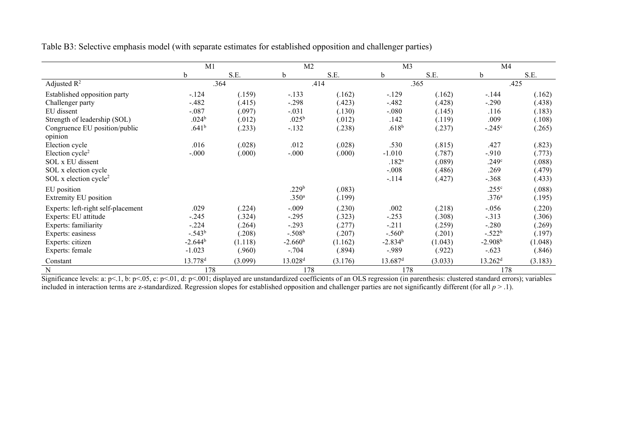|                                    | M1                  |         | M <sub>2</sub>      |         | M <sub>3</sub>      |         | M4                  |         |
|------------------------------------|---------------------|---------|---------------------|---------|---------------------|---------|---------------------|---------|
|                                    | b                   | S.E.    | b                   | S.E.    | b                   | S.E.    | b                   | S.E.    |
| Adjusted $R^2$                     |                     | .364    |                     | .414    |                     | .365    |                     | .425    |
| Established opposition party       | $-.124$             | (.159)  | $-.133$             | (.162)  | $-129$              | (.162)  | $-.144$             | (.162)  |
| Challenger party                   | $-.482$             | (.415)  | $-.298$             | (.423)  | $-.482$             | (.428)  | $-.290$             | (.438)  |
| EU dissent                         | $-.087$             | (.097)  | $-.031$             | (.130)  | $-.080$             | (.145)  | .116                | (.183)  |
| Strength of leadership (SOL)       | .024 <sup>b</sup>   | (.012)  | $.025^{\rm b}$      | (.012)  | .142                | (.119)  | .009                | (.108)  |
| Congruence EU position/public      | .641 <sup>b</sup>   | (.233)  | $-.132$             | (.238)  | $.618^{b}$          | (.237)  | $-.245^{\circ}$     | (.265)  |
| opinion                            |                     |         |                     |         |                     |         |                     |         |
| Election cycle                     | .016                | (.028)  | .012                | (.028)  | .530                | (.815)  | .427                | (.823)  |
| Election cycle <sup>2</sup>        | $-.000$             | (.000)  | $-0.000$            | (.000)  | $-1.010$            | (.787)  | $-.910$             | (.773)  |
| SOL x EU dissent                   |                     |         |                     |         | $.182^{a}$          | (.089)  | .249 <sup>c</sup>   | (.088)  |
| SOL x election cycle               |                     |         |                     |         | $-.008$             | (.486)  | .269                | (.479)  |
| SOL x election cycle <sup>2</sup>  |                     |         |                     |         | $-.114$             | (.427)  | $-.368$             | (.433)  |
| EU position                        |                     |         | .229 <sup>b</sup>   | (.083)  |                     |         | .255 <sup>c</sup>   | (.088)  |
| Extremity EU position              |                     |         | .350 <sup>a</sup>   | (.199)  |                     |         | .376 <sup>a</sup>   | (.195)  |
| Experts: left-right self-placement | .029                | (.224)  | $-.009$             | (.230)  | .002                | (.218)  | $-0.056$            | (.220)  |
| Experts: EU attitude               | $-.245$             | (.324)  | $-.295$             | (.323)  | $-.253$             | (.308)  | $-.313$             | (.306)  |
| Experts: familiarity               | $-.224$             | (.264)  | $-.293$             | (.277)  | $-.211$             | (.259)  | $-.280$             | (.269)  |
| Experts: easiness                  | $-.543b$            | (.208)  | $-.508b$            | (.207)  | $-.560b$            | (.201)  | $-.522b$            | (.197)  |
| Experts: citizen                   | $-2.644^b$          | (1.118) | $-2.660b$           | (1.162) | $-2.834b$           | (1.043) | $-2.908b$           | (1.048) |
| Experts: female                    | $-1.023$            | (.960)  | $-.704$             | (.894)  | $-.989$             | (.922)  | $-.623$             | (.846)  |
| Constant                           | 13.778 <sup>d</sup> | (3.099) | 13.028 <sup>d</sup> | (3.176) | 13.687 <sup>d</sup> | (3.033) | 13.262 <sup>d</sup> | (3.183) |
| ${\bf N}$                          | 178                 |         | 178                 |         | 178                 |         | 178                 |         |

Table B3: Selective emphasis model (with separate estimates for established opposition and challenger parties)

Significance levels: a:  $p<0.1$ , b:  $p<0.05$ , c:  $p<0.01$ , d:  $p<0.01$ ; displayed are unstandardized coefficients of an OLS regression (in parenthesis: clustered standard errors); variables included in interaction terms are z-standardized. Regression slopes for established opposition and challenger parties are not significantly different (for all *p* > .1).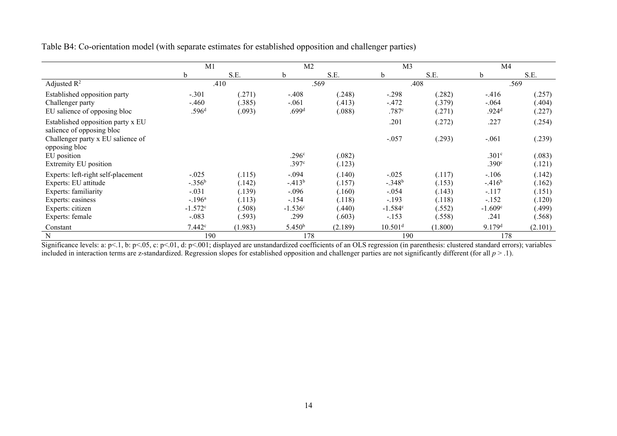| Table B4: Co-orientation model (with separate estimates for established opposition and challenger parties) |  |  |
|------------------------------------------------------------------------------------------------------------|--|--|
|                                                                                                            |  |  |
|                                                                                                            |  |  |

|                                                                                                                                                | M1                                                                 |                                                          | M <sub>2</sub>                                                |                                                          | M <sub>3</sub>                                                    |                                                          | M4                                                             |                                                          |
|------------------------------------------------------------------------------------------------------------------------------------------------|--------------------------------------------------------------------|----------------------------------------------------------|---------------------------------------------------------------|----------------------------------------------------------|-------------------------------------------------------------------|----------------------------------------------------------|----------------------------------------------------------------|----------------------------------------------------------|
|                                                                                                                                                | b                                                                  | S.E.                                                     | b                                                             | S.E.                                                     | b                                                                 | S.E.                                                     | $\mathbf b$                                                    | S.E.                                                     |
| Adjusted $R^2$                                                                                                                                 |                                                                    | .410                                                     |                                                               | .569                                                     |                                                                   | .408                                                     |                                                                | .569                                                     |
| Established opposition party<br>Challenger party<br>EU salience of opposing bloc                                                               | $-.301$<br>$-.460$<br>.596 <sup>d</sup>                            | (.271)<br>(.385)<br>(.093)                               | $-.408$<br>$-.061$<br>.699 <sup>d</sup>                       | (.248)<br>(.413)<br>(.088)                               | $-.298$<br>$-.472$<br>.787c                                       | (.282)<br>(.379)<br>(.271)                               | $-.416$<br>$-.064$<br>.924 <sup>d</sup>                        | (.257)<br>(.404)<br>(.227)                               |
| Established opposition party x EU<br>salience of opposing bloc<br>Challenger party x EU salience of                                            |                                                                    |                                                          |                                                               |                                                          | .201<br>$-.057$                                                   | (.272)<br>(.293)                                         | .227<br>$-.061$                                                | (.254)<br>(.239)                                         |
| opposing bloc<br>EU position<br>Extremity EU position                                                                                          |                                                                    |                                                          | .296 <sup>c</sup><br>.397 <sup>c</sup>                        | (.082)<br>(.123)                                         |                                                                   |                                                          | .301 <sup>c</sup><br>.390 <sup>c</sup>                         | (.083)<br>(.121)                                         |
| Experts: left-right self-placement<br>Experts: EU attitude<br>Experts: familiarity<br>Experts: easiness<br>Experts: citizen<br>Experts: female | $-.025$<br>$-.356b$<br>$-.031$<br>$-.196a$<br>$-1.572c$<br>$-.083$ | (.115)<br>(.142)<br>(.139)<br>(.113)<br>(.508)<br>(.593) | $-.094$<br>$-413b$<br>$-.096$<br>$-.154$<br>$-1.536c$<br>.299 | (.140)<br>(.157)<br>(.160)<br>(.118)<br>(.440)<br>(.603) | $-.025$<br>$-.348b$<br>$-.054$<br>$-.193$<br>$-1.584c$<br>$-.153$ | (.117)<br>(.153)<br>(.143)<br>(.118)<br>(.552)<br>(.558) | $-.106$<br>$-.416b$<br>$-.117$<br>$-.152$<br>$-1.609c$<br>.241 | (.142)<br>(.162)<br>(.151)<br>(.120)<br>(.499)<br>(.568) |
| Constant<br>$\mathbf N$                                                                                                                        | 7.442c<br>190                                                      | (1.983)                                                  | 5.450 <sup>b</sup><br>178                                     | (2.189)                                                  | 10.501 <sup>d</sup><br>190                                        | (1.800)                                                  | 9.179 <sup>d</sup><br>178                                      | (2.101)                                                  |

Significance levels: a:  $p<0.1$ , b:  $p<0.05$ , c:  $p<0.01$ , d:  $p<0.01$ ; displayed are unstandardized coefficients of an OLS regression (in parenthesis: clustered standard errors); variables included in interaction terms are z-standardized. Regression slopes for established opposition and challenger parties are not significantly different (for all *p* > .1).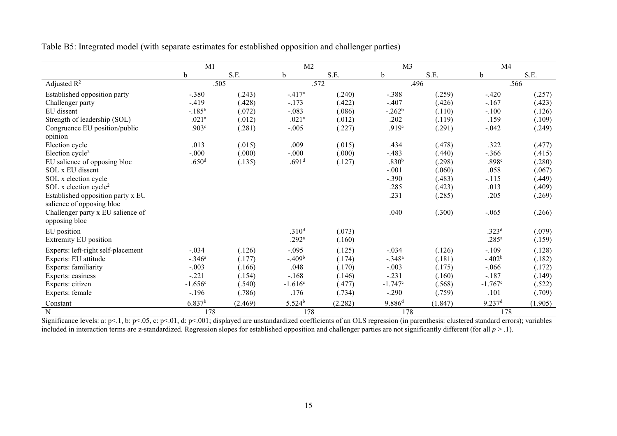Table B5: Integrated model (with separate estimates for established opposition and challenger parties)

|                                    | M1                 |         | M <sub>2</sub>    |         | M <sub>3</sub>    |         | M <sub>4</sub>       |         |
|------------------------------------|--------------------|---------|-------------------|---------|-------------------|---------|----------------------|---------|
|                                    | b                  | S.E.    | b                 | S.E.    | b                 | S.E.    | b                    | S.E.    |
| Adjusted $R^2$                     |                    | .505    |                   | .572    |                   | .496    |                      | .566    |
| Established opposition party       | $-.380$            | (.243)  | $-.417a$          | (.240)  | $-.388$           | (.259)  | $-.420$              | (.257)  |
| Challenger party                   | $-419$             | (.428)  | $-.173$           | (.422)  | $-.407$           | (.426)  | $-.167$              | (.423)  |
| EU dissent                         | $-.185^b$          | (.072)  | $-.083$           | (.086)  | $-.262b$          | (.110)  | $-.100$              | (.126)  |
| Strength of leadership (SOL)       | .021 <sup>a</sup>  | (.012)  | .021 <sup>a</sup> | (.012)  | .202              | (.119)  | .159                 | (.109)  |
| Congruence EU position/public      | .903 <sup>c</sup>  | (.281)  | $-.005$           | (.227)  | .919 <sup>c</sup> | (.291)  | $-.042$              | (.249)  |
| opinion                            |                    |         |                   |         |                   |         |                      |         |
| Election cycle                     | .013               | (.015)  | .009              | (.015)  | .434              | (.478)  | .322                 | (.477)  |
| Election cycle <sup>2</sup>        | $-.000$            | (.000)  | $-.000$           | (.000)  | $-.483$           | (.440)  | $-.366$              | (.415)  |
| EU salience of opposing bloc       | .650 <sup>d</sup>  | (.135)  | .691 <sup>d</sup> | (.127)  | .830 <sup>b</sup> | (.298)  | .898c                | (.280)  |
| SOL x EU dissent                   |                    |         |                   |         | $-.001$           | (.060)  | .058                 | (.067)  |
| SOL x election cycle               |                    |         |                   |         | $-.390$           | (.483)  | $-.115$              | (.449)  |
| SOL x election cycle <sup>2</sup>  |                    |         |                   |         | .285              | (.423)  | .013                 | (.409)  |
| Established opposition party x EU  |                    |         |                   |         | .231              | (.285)  | .205                 | (.269)  |
| salience of opposing bloc          |                    |         |                   |         |                   |         |                      |         |
| Challenger party x EU salience of  |                    |         |                   |         | .040              | (.300)  | $-.065$              | (.266)  |
| opposing bloc                      |                    |         |                   |         |                   |         |                      |         |
| EU position                        |                    |         | .310 <sup>d</sup> | (.073)  |                   |         | .323 <sup>d</sup>    | (.079)  |
| <b>Extremity EU</b> position       |                    |         | .292 <sup>a</sup> | (.160)  |                   |         | .285 <sup>a</sup>    | (.159)  |
| Experts: left-right self-placement | $-.034$            | (.126)  | $-.095$           | (.125)  | $-.034$           | (.126)  | $-.109$              | (.128)  |
| Experts: EU attitude               | $-.346a$           | (.177)  | $-0.409b$         | (.174)  | $-.348a$          | (.181)  | $-0.402b$            | (.182)  |
| Experts: familiarity               | $-.003$            | (.166)  | .048              | (.170)  | $-.003$           | (.175)  | $-.066$              | (.172)  |
| Experts: easiness                  | $-.221$            | (.154)  | $-.168$           | (.146)  | $-.231$           | (.160)  | $-.187$              | (.149)  |
| Experts: citizen                   | $-1.656c$          | (.540)  | $-1.616c$         | (.477)  | $-1.747c$         | (.568)  | $-1.767c$            | (.522)  |
| Experts: female                    | $-.196$            | (.786)  | .176              | (.734)  | $-.290$           | (.759)  | .101                 | (.709)  |
| Constant                           | 6.837 <sup>b</sup> | (2.469) | $5.524^b$         | (2.282) | $9.886^{d}$       | (1.847) | $9.237$ <sup>d</sup> | (1.905) |
| ${\bf N}$                          | 178                |         | 178               |         | 178               |         | 178                  |         |

Significance levels: a:  $p<1$ , b:  $p<0.05$ , c:  $p<0.01$ , d:  $p<0.01$ ; displayed are unstandardized coefficients of an OLS regression (in parenthesis: clustered standard errors); variables included in interaction terms are z-standardized. Regression slopes for established opposition and challenger parties are not significantly different (for all  $p > 0.1$ ).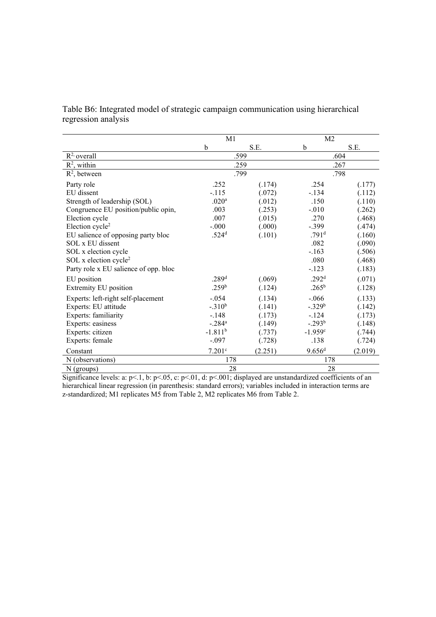|                     | Table B6: Integrated model of strategic campaign communication using hierarchical |  |  |  |
|---------------------|-----------------------------------------------------------------------------------|--|--|--|
| regression analysis |                                                                                   |  |  |  |

|                                       | M1                   |         | M <sub>2</sub>       |         |  |
|---------------------------------------|----------------------|---------|----------------------|---------|--|
|                                       | b                    | S.E.    | b                    | S.E.    |  |
| $R^2$ overall                         |                      | .599    |                      | .604    |  |
| $R^2$ , within                        |                      | .259    |                      | .267    |  |
| $R^2$ , between                       |                      | .799    |                      | .798    |  |
| Party role                            | .252                 | (.174)  | .254                 | (.177)  |  |
| EU dissent                            | $-.115$              | (.072)  | $-.134$              | (.112)  |  |
| Strength of leadership (SOL)          | .020 <sup>a</sup>    | (.012)  | .150                 | (.110)  |  |
| Congruence EU position/public opin,   | .003                 | (.253)  | $-.010$              | (.262)  |  |
| Election cycle                        | .007                 | (.015)  | .270                 | (.468)  |  |
| Election cycle <sup>2</sup>           | $-0.000$             | (.000)  | $-.399$              | (.474)  |  |
| EU salience of opposing party bloc    | .524 <sup>d</sup>    | (.101)  | .791 <sup>d</sup>    | (.160)  |  |
| SOL x EU dissent                      |                      |         | .082                 | (.090)  |  |
| SOL x election cycle                  |                      |         | $-.163$              | (.506)  |  |
| SOL x election cycle <sup>2</sup>     |                      |         | .080                 | (.468)  |  |
| Party role x EU salience of opp. bloc |                      |         | $-.123$              | (.183)  |  |
| EU position                           | .289 <sup>d</sup>    | (.069)  | .292 <sup>d</sup>    | (.071)  |  |
| Extremity EU position                 | .259 <sup>b</sup>    | (.124)  | $.265^{\rm b}$       | (.128)  |  |
| Experts: left-right self-placement    | $-.054$              | (.134)  | $-.066$              | (.133)  |  |
| Experts: EU attitude                  | $-.310b$             | (.141)  | $-.329b$             | (.142)  |  |
| Experts: familiarity                  | $-.148$              | (.173)  | $-.124$              | (.173)  |  |
| Experts: easiness                     | $-.284$ <sup>a</sup> | (.149)  | $-.293b$             | (.148)  |  |
| Experts: citizen                      | $-1.811^{b}$         | (.737)  | $-1.959c$            | (.744)  |  |
| Experts: female                       | $-.097$              | (.728)  | .138                 | (.724)  |  |
| Constant                              | 7.201c               | (2.251) | $9.656$ <sup>d</sup> | (2.019) |  |
| N (observations)                      | 178                  |         | 178                  |         |  |
| $N$ (groups)                          | 28                   |         | 28                   |         |  |

Significance levels: a:  $p<.1$ , b:  $p<.05$ , c:  $p<.01$ , d:  $p<.001$ ; displayed are unstandardized coefficients of an hierarchical linear regression (in parenthesis: standard errors); variables included in interaction terms are z-standardized; M1 replicates M5 from Table 2, M2 replicates M6 from Table 2.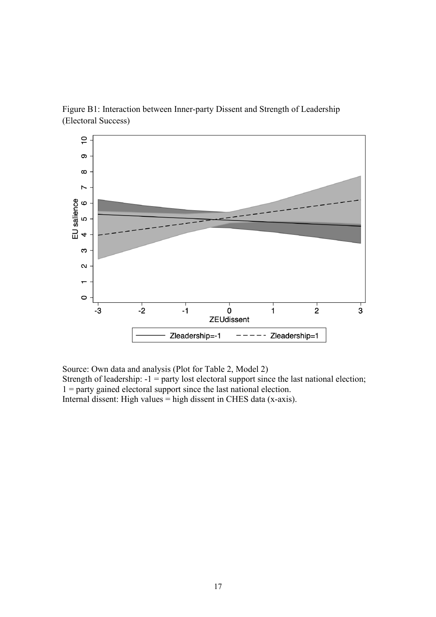Figure B1: Interaction between Inner-party Dissent and Strength of Leadership (Electoral Success)



Source: Own data and analysis (Plot for Table 2, Model 2)

Strength of leadership:  $-1$  = party lost electoral support since the last national election; 1 = party gained electoral support since the last national election.

Internal dissent: High values = high dissent in CHES data (x-axis).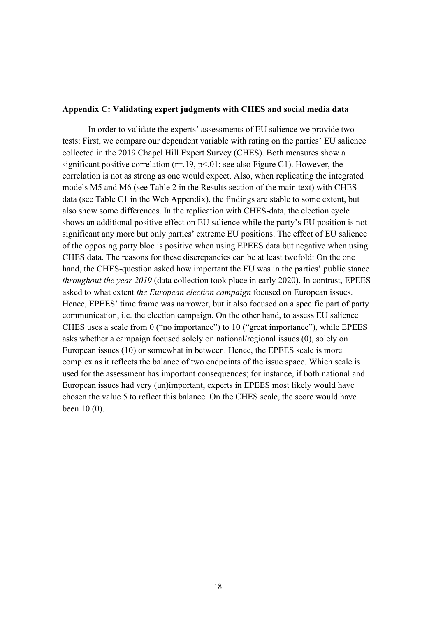### **Appendix C: Validating expert judgments with CHES and social media data**

In order to validate the experts' assessments of EU salience we provide two tests: First, we compare our dependent variable with rating on the parties' EU salience collected in the 2019 Chapel Hill Expert Survey (CHES). Both measures show a significant positive correlation ( $r=19$ ,  $p<01$ ; see also Figure C1). However, the correlation is not as strong as one would expect. Also, when replicating the integrated models M5 and M6 (see Table 2 in the Results section of the main text) with CHES data (see Table C1 in the Web Appendix), the findings are stable to some extent, but also show some differences. In the replication with CHES-data, the election cycle shows an additional positive effect on EU salience while the party's EU position is not significant any more but only parties' extreme EU positions. The effect of EU salience of the opposing party bloc is positive when using EPEES data but negative when using CHES data. The reasons for these discrepancies can be at least twofold: On the one hand, the CHES-question asked how important the EU was in the parties' public stance *throughout the year 2019* (data collection took place in early 2020). In contrast, EPEES asked to what extent *the European election campaign* focused on European issues. Hence, EPEES' time frame was narrower, but it also focused on a specific part of party communication, i.e. the election campaign. On the other hand, to assess EU salience CHES uses a scale from 0 ("no importance") to 10 ("great importance"), while EPEES asks whether a campaign focused solely on national/regional issues (0), solely on European issues (10) or somewhat in between. Hence, the EPEES scale is more complex as it reflects the balance of two endpoints of the issue space. Which scale is used for the assessment has important consequences; for instance, if both national and European issues had very (un)important, experts in EPEES most likely would have chosen the value 5 to reflect this balance. On the CHES scale, the score would have been 10 (0).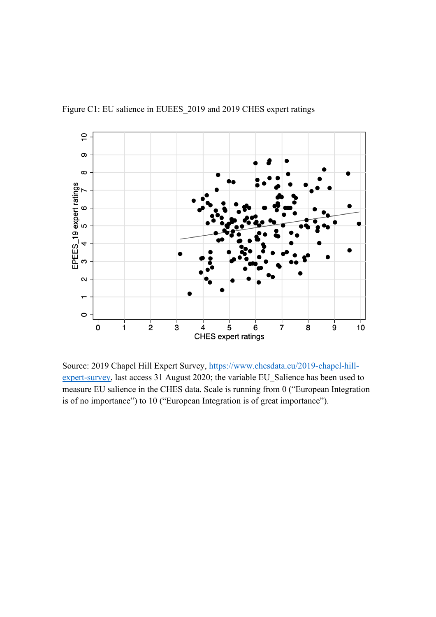

Figure C1: EU salience in EUEES\_2019 and 2019 CHES expert ratings

Source: 2019 Chapel Hill Expert Survey, [https://www.chesdata.eu/2019-chapel-hill](https://www.chesdata.eu/2019-chapel-hill-expert-survey)[expert-survey,](https://www.chesdata.eu/2019-chapel-hill-expert-survey) last access 31 August 2020; the variable EU\_Salience has been used to measure EU salience in the CHES data. Scale is running from 0 ("European Integration is of no importance") to 10 ("European Integration is of great importance").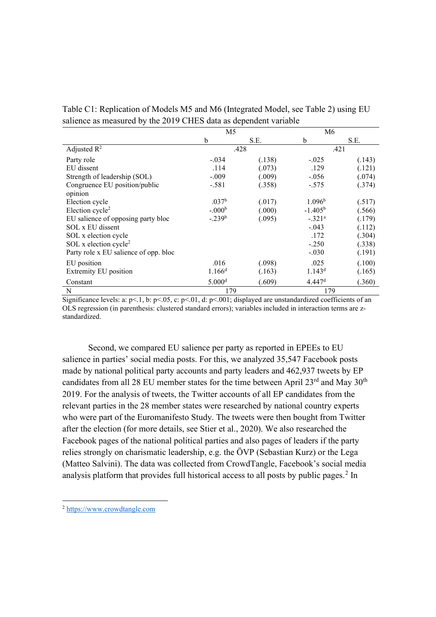Table C1: Replication of Models M5 and M6 (Integrated Model, see Table 2) using EU salience as measured by the 2019 CHES data as dependent variable

|                                       | M <sub>5</sub>     |        | M6                 |        |
|---------------------------------------|--------------------|--------|--------------------|--------|
|                                       | b                  | S.E.   | b                  | S.E.   |
| Adjusted $R^2$                        |                    | .428   |                    | .421   |
| Party role                            | $-.034$            | (.138) | $-.025$            | (.143) |
| EU dissent                            | .114               | (.073) | .129               | (.121) |
| Strength of leadership (SOL)          | $-.009$            | (.009) | $-.056$            | 074)   |
| Congruence EU position/public         | $-.581$            | (.358) | $-.575$            | (.374) |
| opinion                               |                    |        |                    |        |
| Election cycle                        | .037 <sup>b</sup>  | (.017) | 1.096 <sup>b</sup> | (.517) |
| Election cycle <sup>2</sup>           | $-.000b$           | (.000) | $-1.405^{\rm b}$   | (.566) |
| EU salience of opposing party bloc    | $-.239b$           | (.095) | $-.321a$           | (.179) |
| SOL x EU dissent                      |                    |        | $-.043$            | (.112) |
| SOL x election cycle                  |                    |        | .172               | (.304) |
| SOL x election cycle <sup>2</sup>     |                    |        | $-.250$            | (.338) |
| Party role x EU salience of opp. bloc |                    |        | $-.030$            | (.191) |
| EU position                           | .016               | (.098) | .025               | (.100) |
| Extremity EU position                 | 1.166 <sup>d</sup> | (.163) | 1.143 <sup>d</sup> | (.165) |
| Constant                              | 5.000 <sup>d</sup> | (.609) | 4.447 <sup>d</sup> | (.360) |
| N                                     | 179                |        | 179                |        |

Significance levels: a:  $p<.1$ , b:  $p<.05$ , c:  $p<.01$ , d:  $p<.001$ ; displayed are unstandardized coefficients of an OLS regression (in parenthesis: clustered standard errors); variables included in interaction terms are zstandardized.

Second, we compared EU salience per party as reported in EPEEs to EU salience in parties' social media posts. For this, we analyzed 35,547 Facebook posts made by national political party accounts and party leaders and 462,937 tweets by EP candidates from all 28 EU member states for the time between April  $23^{\text{rd}}$  and May  $30^{\text{th}}$ 2019. For the analysis of tweets, the Twitter accounts of all EP candidates from the relevant parties in the 28 member states were researched by national country experts who were part of the Euromanifesto Study. The tweets were then bought from Twitter after the election (for more details, see Stier et al., 2020). We also researched the Facebook pages of the national political parties and also pages of leaders if the party relies strongly on charismatic leadership, e.g. the ÖVP (Sebastian Kurz) or the Lega (Matteo Salvini). The data was collected from CrowdTangle, Facebook's social media analysis platform that provides full historical access to all posts by public pages.<sup>[2](#page-19-0)</sup> In

<span id="page-19-0"></span><sup>2</sup> [https://www.crowdtangle.com](https://www.crowdtangle.com/)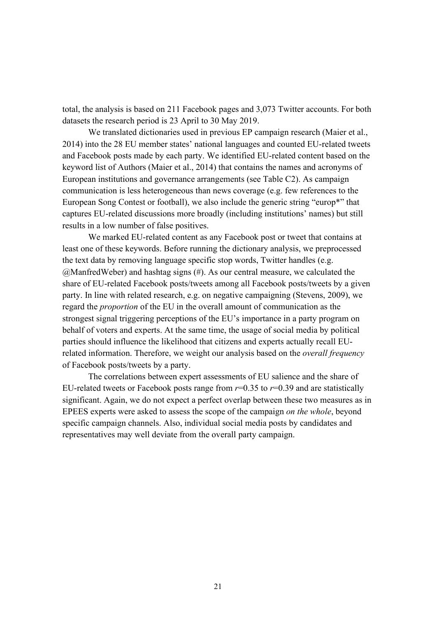total, the analysis is based on 211 Facebook pages and 3,073 Twitter accounts. For both datasets the research period is 23 April to 30 May 2019.

We translated dictionaries used in previous EP campaign research (Maier et al., 2014) into the 28 EU member states' national languages and counted EU-related tweets and Facebook posts made by each party. We identified EU-related content based on the keyword list of Authors (Maier et al., 2014) that contains the names and acronyms of European institutions and governance arrangements (see Table C2). As campaign communication is less heterogeneous than news coverage (e.g. few references to the European Song Contest or football), we also include the generic string "europ\*" that captures EU-related discussions more broadly (including institutions' names) but still results in a low number of false positives.

We marked EU-related content as any Facebook post or tweet that contains at least one of these keywords. Before running the dictionary analysis, we preprocessed the text data by removing language specific stop words, Twitter handles (e.g. @ManfredWeber) and hashtag signs (#). As our central measure, we calculated the share of EU-related Facebook posts/tweets among all Facebook posts/tweets by a given party. In line with related research, e.g. on negative campaigning (Stevens, 2009), we regard the *proportion* of the EU in the overall amount of communication as the strongest signal triggering perceptions of the EU's importance in a party program on behalf of voters and experts. At the same time, the usage of social media by political parties should influence the likelihood that citizens and experts actually recall EUrelated information. Therefore, we weight our analysis based on the *overall frequency* of Facebook posts/tweets by a party.

The correlations between expert assessments of EU salience and the share of EU-related tweets or Facebook posts range from *r*=0.35 to *r*=0.39 and are statistically significant. Again, we do not expect a perfect overlap between these two measures as in EPEES experts were asked to assess the scope of the campaign *on the whole*, beyond specific campaign channels. Also, individual social media posts by candidates and representatives may well deviate from the overall party campaign.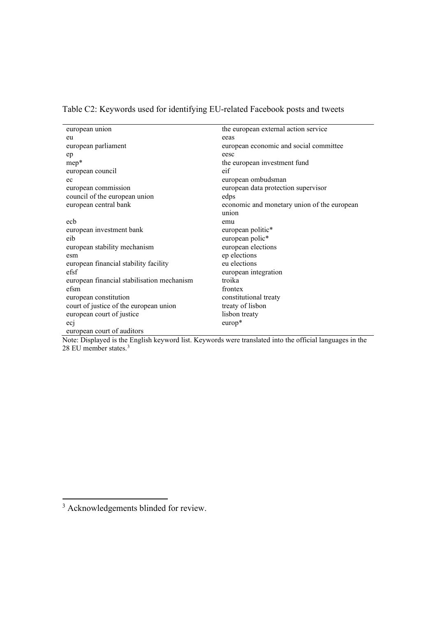Table C2: Keywords used for identifying EU-related Facebook posts and tweets

| european union                             | the european external action service        |
|--------------------------------------------|---------------------------------------------|
| eu                                         | eeas                                        |
| european parliament                        | european economic and social committee      |
| ep                                         | eesc                                        |
| $mep*$                                     | the european investment fund                |
| european council                           | eif                                         |
| ec                                         | european ombudsman                          |
| european commission                        | european data protection supervisor         |
| council of the european union              | edps                                        |
| european central bank                      | economic and monetary union of the european |
|                                            | union                                       |
| ecb                                        | emu                                         |
| european investment bank                   | european politic*                           |
| eib                                        | european polic*                             |
| european stability mechanism               | european elections                          |
| esm                                        | ep elections                                |
| european financial stability facility      | eu elections                                |
| efsf                                       | european integration                        |
| european financial stabilisation mechanism | troika                                      |
| efsm                                       | frontex                                     |
| european constitution                      | constitutional treaty                       |
| court of justice of the european union     | treaty of lisbon                            |
| european court of justice                  | lisbon treaty                               |
| ecj                                        | $europ*$                                    |
| european court of auditors                 |                                             |

Note: Displayed is the English keyword list. Keywords were translated into the official languages in the 28 EU member states.[3](#page-21-0)

<span id="page-21-0"></span><sup>&</sup>lt;sup>3</sup> Acknowledgements blinded for review.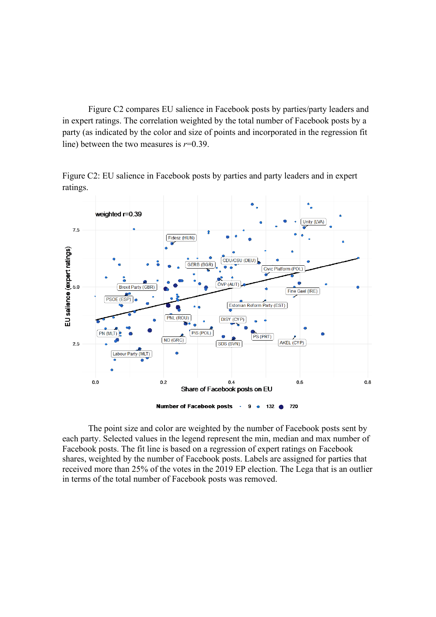Figure C2 compares EU salience in Facebook posts by parties/party leaders and in expert ratings. The correlation weighted by the total number of Facebook posts by a party (as indicated by the color and size of points and incorporated in the regression fit line) between the two measures is *r*=0.39.

Figure C2: EU salience in Facebook posts by parties and party leaders and in expert ratings.



The point size and color are weighted by the number of Facebook posts sent by each party. Selected values in the legend represent the min, median and max number of Facebook posts. The fit line is based on a regression of expert ratings on Facebook shares, weighted by the number of Facebook posts. Labels are assigned for parties that received more than 25% of the votes in the 2019 EP election. The Lega that is an outlier in terms of the total number of Facebook posts was removed.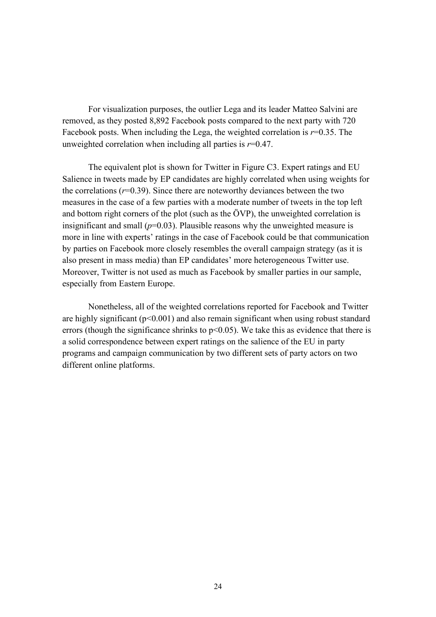For visualization purposes, the outlier Lega and its leader Matteo Salvini are removed, as they posted 8,892 Facebook posts compared to the next party with 720 Facebook posts. When including the Lega, the weighted correlation is *r*=0.35. The unweighted correlation when including all parties is *r*=0.47.

The equivalent plot is shown for Twitter in Figure C3. Expert ratings and EU Salience in tweets made by EP candidates are highly correlated when using weights for the correlations  $(r=0.39)$ . Since there are noteworthy deviances between the two measures in the case of a few parties with a moderate number of tweets in the top left and bottom right corners of the plot (such as the ÖVP), the unweighted correlation is insignificant and small  $(p=0.03)$ . Plausible reasons why the unweighted measure is more in line with experts' ratings in the case of Facebook could be that communication by parties on Facebook more closely resembles the overall campaign strategy (as it is also present in mass media) than EP candidates' more heterogeneous Twitter use. Moreover, Twitter is not used as much as Facebook by smaller parties in our sample, especially from Eastern Europe.

Nonetheless, all of the weighted correlations reported for Facebook and Twitter are highly significant  $(p<0.001)$  and also remain significant when using robust standard errors (though the significance shrinks to  $p<0.05$ ). We take this as evidence that there is a solid correspondence between expert ratings on the salience of the EU in party programs and campaign communication by two different sets of party actors on two different online platforms.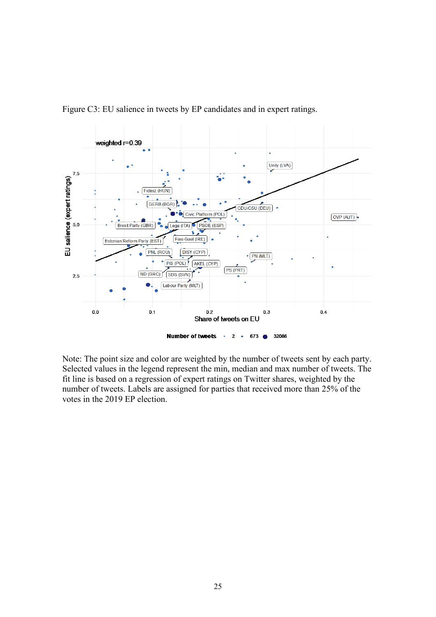

Figure C3: EU salience in tweets by EP candidates and in expert ratings.

Note: The point size and color are weighted by the number of tweets sent by each party. Selected values in the legend represent the min, median and max number of tweets. The fit line is based on a regression of expert ratings on Twitter shares, weighted by the number of tweets. Labels are assigned for parties that received more than 25% of the votes in the 2019 EP election.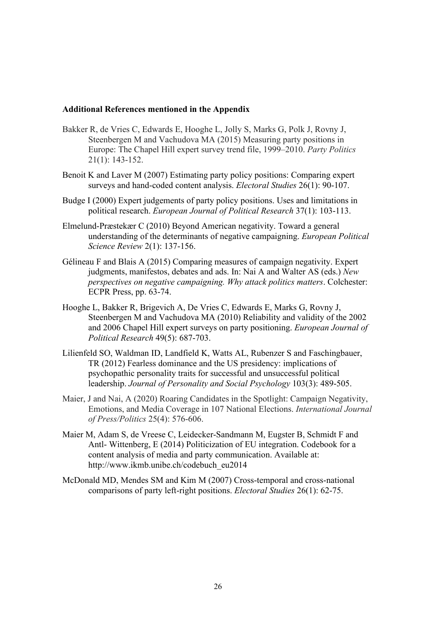## **Additional References mentioned in the Appendix**

- Bakker R, de Vries C, Edwards E, Hooghe L, Jolly S, Marks G, Polk J, Rovny J, Steenbergen M and Vachudova MA (2015) Measuring party positions in Europe: The Chapel Hill expert survey trend file, 1999–2010. *Party Politics* 21(1): 143-152.
- Benoit K and Laver M (2007) Estimating party policy positions: Comparing expert surveys and hand-coded content analysis. *Electoral Studies* 26(1): 90-107.
- Budge I (2000) Expert judgements of party policy positions. Uses and limitations in political research. *European Journal of Political Research* 37(1): 103-113.
- Elmelund‐Præstekær C (2010) Beyond American negativity. Toward a general understanding of the determinants of negative campaigning. *European Political Science Review* 2(1): 137-156.
- Gélineau F and Blais A (2015) Comparing measures of campaign negativity. Expert judgments, manifestos, debates and ads. In: Nai A and Walter AS (eds.) *New perspectives on negative campaigning. Why attack politics matters*. Colchester: ECPR Press, pp. 63-74.
- Hooghe L, Bakker R, Brigevich A, De Vries C, Edwards E, Marks G, Rovny J, Steenbergen M and Vachudova MA (2010) Reliability and validity of the 2002 and 2006 Chapel Hill expert surveys on party positioning. *European Journal of Political Research* 49(5): 687-703.
- Lilienfeld SO, Waldman ID, Landfield K, Watts AL, Rubenzer S and Faschingbauer, TR (2012) Fearless dominance and the US presidency: implications of psychopathic personality traits for successful and unsuccessful political leadership. *Journal of Personality and Social Psychology* 103(3): 489-505.
- Maier, J and Nai, A (2020) Roaring Candidates in the Spotlight: Campaign Negativity, Emotions, and Media Coverage in 107 National Elections. *International Journal of Press/Politics* 25(4): 576-606.
- Maier M, Adam S, de Vreese C, Leidecker-Sandmann M, Eugster B, Schmidt F and Antl- Wittenberg, E (2014) Politicization of EU integration. Codebook for a content analysis of media and party communication. Available at: http://www.ikmb.unibe.ch/codebuch\_eu2014
- McDonald MD, Mendes SM and Kim M (2007) Cross-temporal and cross-national comparisons of party left-right positions. *Electoral Studies* 26(1): 62-75.